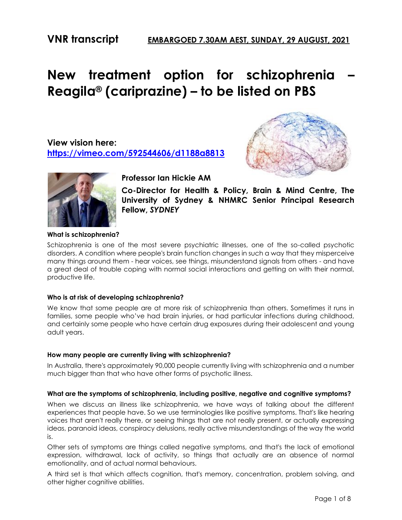# **New treatment option for schizophrenia – Reagila® (cariprazine) – to be listed on PBS**

**View vision here: <https://vimeo.com/592544606/d1188a8813>**





**Professor Ian Hickie AM**

**Co-Director for Health & Policy, Brain & Mind Centre, The University of Sydney & NHMRC Senior Principal Research Fellow,** *SYDNEY*

# **What is schizophrenia?**

Schizophrenia is one of the most severe psychiatric illnesses, one of the so-called psychotic disorders. A condition where people's brain function changes in such a way that they misperceive many things around them - hear voices, see things, misunderstand signals from others - and have a great deal of trouble coping with normal social interactions and getting on with their normal, productive life.

# **Who is at risk of developing schizophrenia?**

We know that some people are at more risk of schizophrenia than others. Sometimes it runs in families, some people who've had brain injuries, or had particular infections during childhood, and certainly some people who have certain drug exposures during their adolescent and young adult years.

# **How many people are currently living with schizophrenia?**

In Australia, there's approximately 90,000 people currently living with schizophrenia and a number much bigger than that who have other forms of psychotic illness.

# **What are the symptoms of schizophrenia, including positive, negative and cognitive symptoms?**

When we discuss an illness like schizophrenia, we have ways of talking about the different experiences that people have. So we use terminologies like positive symptoms. That's like hearing voices that aren't really there, or seeing things that are not really present, or actually expressing ideas, paranoid ideas, conspiracy delusions, really active misunderstandings of the way the world is.

Other sets of symptoms are things called negative symptoms, and that's the lack of emotional expression, withdrawal, lack of activity, so things that actually are an absence of normal emotionality, and of actual normal behaviours.

A third set is that which affects cognition, that's memory, concentration, problem solving, and other higher cognitive abilities.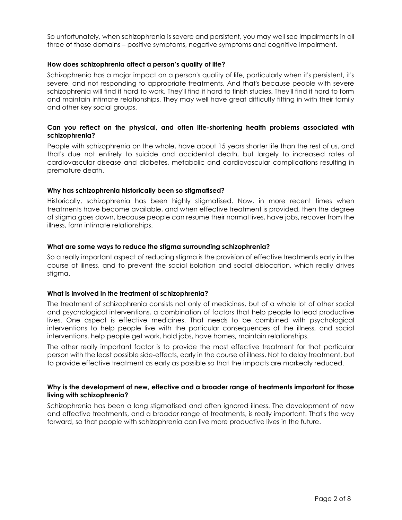So unfortunately, when schizophrenia is severe and persistent, you may well see impairments in all three of those domains – positive symptoms, negative symptoms and cognitive impairment.

#### **How does schizophrenia affect a person's quality of life?**

Schizophrenia has a major impact on a person's quality of life, particularly when it's persistent, it's severe, and not responding to appropriate treatments. And that's because people with severe schizophrenia will find it hard to work. They'll find it hard to finish studies. They'll find it hard to form and maintain intimate relationships. They may well have great difficulty fitting in with their family and other key social groups.

#### **Can you reflect on the physical, and often life-shortening health problems associated with schizophrenia?**

People with schizophrenia on the whole, have about 15 years shorter life than the rest of us, and that's due not entirely to suicide and accidental death, but largely to increased rates of cardiovascular disease and diabetes, metabolic and cardiovascular complications resulting in premature death.

#### **Why has schizophrenia historically been so stigmatised?**

Historically, schizophrenia has been highly stigmatised. Now, in more recent times when treatments have become available, and when effective treatment is provided, then the degree of stigma goes down, because people can resume their normal lives, have jobs, recover from the illness, form intimate relationships.

#### **What are some ways to reduce the stigma surrounding schizophrenia?**

So a really important aspect of reducing stigma is the provision of effective treatments early in the course of illness, and to prevent the social isolation and social dislocation, which really drives stigma.

#### **What is involved in the treatment of schizophrenia?**

The treatment of schizophrenia consists not only of medicines, but of a whole lot of other social and psychological interventions, a combination of factors that help people to lead productive lives. One aspect is effective medicines. That needs to be combined with psychological interventions to help people live with the particular consequences of the illness, and social interventions, help people get work, hold jobs, have homes, maintain relationships.

The other really important factor is to provide the most effective treatment for that particular person with the least possible side-effects, early in the course of illness. Not to delay treatment, but to provide effective treatment as early as possible so that the impacts are markedly reduced.

#### **Why is the development of new, effective and a broader range of treatments important for those living with schizophrenia?**

Schizophrenia has been a long stigmatised and often ignored illness. The development of new and effective treatments, and a broader range of treatments, is really important. That's the way forward, so that people with schizophrenia can live more productive lives in the future.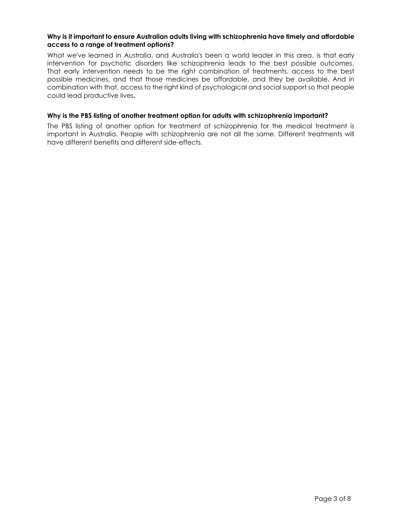#### **Why is it important to ensure Australian adults living with schizophrenia have timely and affordable access to a range of treatment options?**

What we've learned in Australia, and Australia's been a world leader in this area, is that early intervention for psychotic disorders like schizophrenia leads to the best possible outcomes. That early intervention needs to be the right combination of treatments, access to the best possible medicines, and that those medicines be affordable, and they be available. And in combination with that, access to the right kind of psychological and social support so that people could lead productive lives.

#### **Why is the PBS listing of another treatment option for adults with schizophrenia important?**

The PBS listing of another option for treatment of schizophrenia for the medical treatment is important in Australia. People with schizophrenia are not all the same. Different treatments will have different benefits and different side-effects.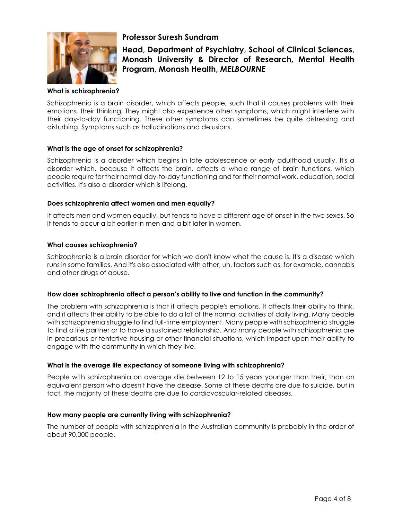

# **Professor Suresh Sundram**

**Head, Department of Psychiatry, School of Clinical Sciences, Monash University & Director of Research, Mental Health Program, Monash Health,** *MELBOURNE*

#### **What is schizophrenia?**

Schizophrenia is a brain disorder, which affects people, such that it causes problems with their emotions, their thinking. They might also experience other symptoms, which might interfere with their day-to-day functioning. These other symptoms can sometimes be quite distressing and disturbing. Symptoms such as hallucinations and delusions.

#### **What is the age of onset for schizophrenia?**

Schizophrenia is a disorder which begins in late adolescence or early adulthood usually. It's a disorder which, because it affects the brain, affects a whole range of brain functions, which people require for their normal day-to-day functioning and for their normal work, education, social activities. It's also a disorder which is lifelong.

#### **Does schizophrenia affect women and men equally?**

It affects men and women equally, but tends to have a different age of onset in the two sexes. So it tends to occur a bit earlier in men and a bit later in women.

#### **What causes schizophrenia?**

Schizophrenia is a brain disorder for which we don't know what the cause is. It's a disease which runs in some families. And it's also associated with other, uh, factors such as, for example, cannabis and other drugs of abuse.

#### **How does schizophrenia affect a person's ability to live and function in the community?**

The problem with schizophrenia is that it affects people's emotions. It affects their ability to think, and it affects their ability to be able to do a lot of the normal activities of daily living. Many people with schizophrenia struggle to find full-time employment. Many people with schizophrenia struggle to find a life partner or to have a sustained relationship. And many people with schizophrenia are in precarious or tentative housing or other financial situations, which impact upon their ability to engage with the community in which they live.

#### **What is the average life expectancy of someone living with schizophrenia?**

People with schizophrenia on average die between 12 to 15 years younger than their, than an equivalent person who doesn't have the disease. Some of these deaths are due to suicide, but in fact, the majority of these deaths are due to cardiovascular-related diseases.

#### **How many people are currently living with schizophrenia?**

The number of people with schizophrenia in the Australian community is probably in the order of about 90,000 people.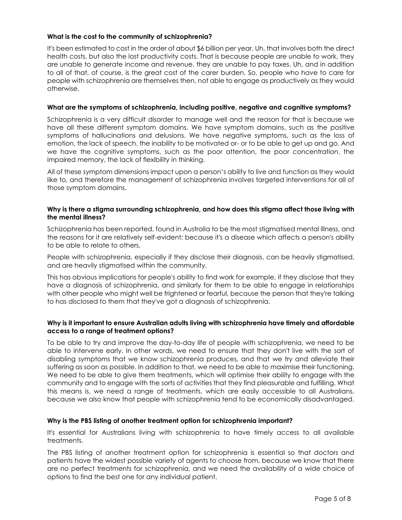## **What is the cost to the community of schizophrenia?**

It's been estimated to cost in the order of about \$6 billion per year. Uh, that involves both the direct health costs, but also the lost productivity costs. That is because people are unable to work, they are unable to generate income and revenue, they are unable to pay taxes. Uh, and in addition to all of that, of course, is the great cost of the carer burden. So, people who have to care for people with schizophrenia are themselves then, not able to engage as productively as they would otherwise.

#### **What are the symptoms of schizophrenia, including positive, negative and cognitive symptoms?**

Schizophrenia is a very difficult disorder to manage well and the reason for that is because we have all these different symptom domains. We have symptom domains, such as the positive symptoms of hallucinations and delusions. We have negative symptoms, such as the loss of emotion, the lack of speech, the inability to be motivated or- or to be able to get up and go. And we have the cognitive symptoms, such as the poor attention, the poor concentration, the impaired memory, the lack of flexibility in thinking.

All of these symptom dimensions impact upon a person's ability to live and function as they would like to, and therefore the management of schizophrenia involves targeted interventions for all of those symptom domains.

#### **Why is there a stigma surrounding schizophrenia, and how does this stigma affect those living with the mental illness?**

Schizophrenia has been reported, found in Australia to be the most stigmatised mental illness, and the reasons for it are relatively self-evident; because it's a disease which affects a person's ability to be able to relate to others.

People with schizophrenia, especially if they disclose their diagnosis, can be heavily stigmatised, and are heavily stigmatised within the community.

This has obvious implications for people's ability to find work for example, if they disclose that they have a diagnosis of schizophrenia, and similarly for them to be able to engage in relationships with other people who might well be frightened or fearful, because the person that they're talking to has disclosed to them that they've got a diagnosis of schizophrenia.

#### **Why is it important to ensure Australian adults living with schizophrenia have timely and affordable access to a range of treatment options?**

To be able to try and improve the day-to-day life of people with schizophrenia, we need to be able to intervene early. In other words, we need to ensure that they don't live with the sort of disabling symptoms that we know schizophrenia produces, and that we try and alleviate their suffering as soon as possible. In addition to that, we need to be able to maximise their functioning. We need to be able to give them treatments, which will optimise their ability to engage with the community and to engage with the sorts of activities that they find pleasurable and fulfilling. What this means is, we need a range of treatments, which are easily accessible to all Australians, because we also know that people with schizophrenia tend to be economically disadvantaged.

#### **Why is the PBS listing of another treatment option for schizophrenia important?**

It's essential for Australians living with schizophrenia to have timely access to all available treatments.

The PBS listing of another treatment option for schizophrenia is essential so that doctors and patients have the widest possible variety of agents to choose from, because we know that there are no perfect treatments for schizophrenia, and we need the availability of a wide choice of options to find the best one for any individual patient.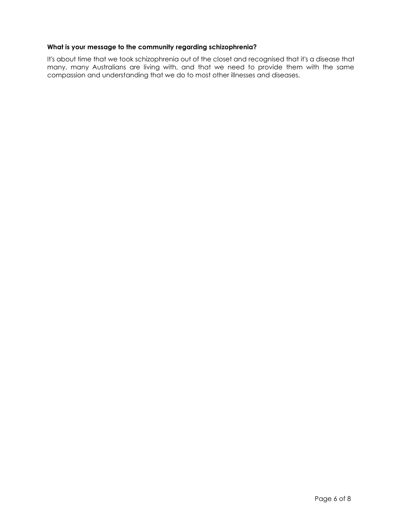#### **What is your message to the community regarding schizophrenia?**

It's about time that we took schizophrenia out of the closet and recognised that it's a disease that many, many Australians are living with, and that we need to provide them with the same compassion and understanding that we do to most other illnesses and diseases.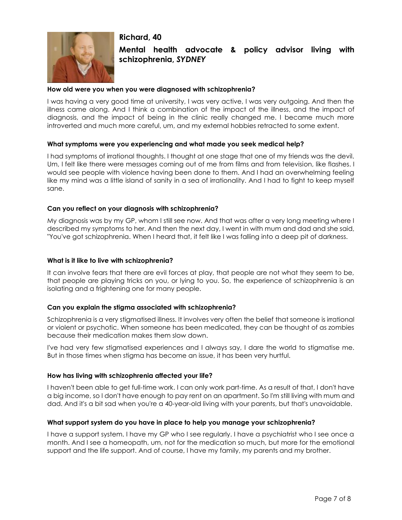# **Richard, 40**



# **Mental health advocate & policy advisor living with schizophrenia,** *SYDNEY*

#### **How old were you when you were diagnosed with schizophrenia?**

I was having a very good time at university, I was very active, I was very outgoing. And then the illness came along. And I think a combination of the impact of the illness, and the impact of diagnosis, and the impact of being in the clinic really changed me. I became much more introverted and much more careful, um, and my external hobbies retracted to some extent.

#### **What symptoms were you experiencing and what made you seek medical help?**

I had symptoms of irrational thoughts. I thought at one stage that one of my friends was the devil. Um, I felt like there were messages coming out of me from films and from television, like flashes. I would see people with violence having been done to them. And I had an overwhelming feeling like my mind was a little island of sanity in a sea of irrationality. And I had to fight to keep myself sane.

#### **Can you reflect on your diagnosis with schizophrenia?**

My diagnosis was by my GP, whom I still see now. And that was after a very long meeting where I described my symptoms to her. And then the next day, I went in with mum and dad and she said, "You've got schizophrenia. When I heard that, it felt like I was falling into a deep pit of darkness.

#### **What is it like to live with schizophrenia?**

It can involve fears that there are evil forces at play, that people are not what they seem to be, that people are playing tricks on you, or lying to you. So, the experience of schizophrenia is an isolating and a frightening one for many people.

#### **Can you explain the stigma associated with schizophrenia?**

Schizophrenia is a very stigmatised illness. It involves very often the belief that someone is irrational or violent or psychotic. When someone has been medicated, they can be thought of as zombies because their medication makes them slow down.

I've had very few stigmatised experiences and I always say, I dare the world to stigmatise me. But in those times when stigma has become an issue, it has been very hurtful.

#### **How has living with schizophrenia affected your life?**

I haven't been able to get full-time work. I can only work part-time. As a result of that, I don't have a big income, so I don't have enough to pay rent on an apartment. So I'm still living with mum and dad. And it's a bit sad when you're a 40-year-old living with your parents, but that's unavoidable.

#### **What support system do you have in place to help you manage your schizophrenia?**

I have a support system. I have my GP who I see regularly. I have a psychiatrist who I see once a month. And I see a homeopath, um, not for the medication so much, but more for the emotional support and the life support. And of course, I have my family, my parents and my brother.